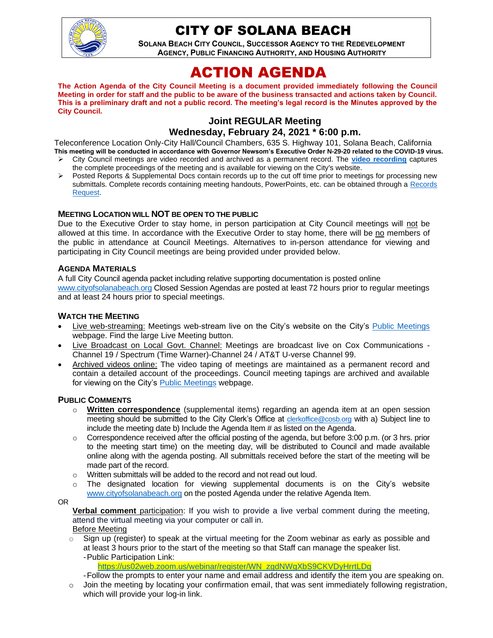

## CITY OF SOLANA BEACH

**SOLANA BEACH CITY COUNCIL, SUCCESSOR AGENCY TO THE REDEVELOPMENT AGENCY, PUBLIC FINANCING AUTHORITY, AND HOUSING AUTHORITY** 

# ACTION AGENDA

**The Action Agenda of the City Council Meeting is a document provided immediately following the Council Meeting in order for staff and the public to be aware of the business transacted and actions taken by Council. This is a preliminary draft and not a public record. The meeting's legal record is the Minutes approved by the City Council.**

## **Joint REGULAR Meeting Wednesday, February 24, 2021 \* 6:00 p.m.**

Teleconference Location Only-City Hall/Council Chambers, 635 S. Highway 101, Solana Beach, California **This meeting will be conducted in accordance with Governor Newsom's Executive Order N-29-20 related to the COVID-19 virus.**

- ➢ City Council meetings are video recorded and archived as a permanent record. The **[video recording](http://www.ci.solana-beach.ca.us/index.asp?SEC=F0F1200D-21C6-4A88-8AE1-0BC07C1A81A7&Type=B_BASIC)** captures the complete proceedings of the meeting and is available for viewing on the City's website.
- ➢ Posted Reports & Supplemental Docs contain records up to the cut off time prior to meetings for processing new submittals. Complete records containing meeting handouts, PowerPoints, etc. can be obtained through a Records [Request.](http://www.ci.solana-beach.ca.us/index.asp?SEC=F5D45D10-70CE-4291-A27C-7BD633FC6742&Type=B_BASIC)

#### **MEETING LOCATION WILL NOT BE OPEN TO THE PUBLIC**

Due to the Executive Order to stay home, in person participation at City Council meetings will not be allowed at this time. In accordance with the Executive Order to stay home, there will be no members of the public in attendance at Council Meetings. Alternatives to in-person attendance for viewing and participating in City Council meetings are being provided under provided below.

#### **AGENDA MATERIALS**

A full City Council agenda packet including relative supporting documentation is posted online [www.cityofsolanabeach.org](http://www.cityofsolanabeach.org/) Closed Session Agendas are posted at least 72 hours prior to regular meetings and at least 24 hours prior to special meetings.

#### **WATCH THE MEETING**

- Live web-streaming: Meetings web-stream live on the City's website on the City's [Public Meetings](https://urldefense.proofpoint.com/v2/url?u=https-3A__www.ci.solana-2Dbeach.ca.us_index.asp-3FSEC-3DF0F1200D-2D21C6-2D4A88-2D8AE1-2D0BC07C1A81A7-26Type-3DB-5FBASIC&d=DwMFAg&c=euGZstcaTDllvimEN8b7jXrwqOf-v5A_CdpgnVfiiMM&r=1XAsCUuqwK_tji2t0s1uIQ&m=wny2RVfZJ2tN24LkqZmkUWNpwL_peNtTZUBlTBZiMM4&s=WwpcEQpHHkFen6nS6q2waMuQ_VMZ-i1YZ60lD-dYRRE&e=) webpage. Find the large Live Meeting button.
- Live Broadcast on Local Govt. Channel: Meetings are broadcast live on Cox Communications Channel 19 / Spectrum (Time Warner)-Channel 24 / AT&T U-verse Channel 99.
- Archived videos online: The video taping of meetings are maintained as a permanent record and contain a detailed account of the proceedings. Council meeting tapings are archived and available for viewing on the City's [Public Meetings](https://urldefense.proofpoint.com/v2/url?u=https-3A__www.ci.solana-2Dbeach.ca.us_index.asp-3FSEC-3DF0F1200D-2D21C6-2D4A88-2D8AE1-2D0BC07C1A81A7-26Type-3DB-5FBASIC&d=DwMFAg&c=euGZstcaTDllvimEN8b7jXrwqOf-v5A_CdpgnVfiiMM&r=1XAsCUuqwK_tji2t0s1uIQ&m=wny2RVfZJ2tN24LkqZmkUWNpwL_peNtTZUBlTBZiMM4&s=WwpcEQpHHkFen6nS6q2waMuQ_VMZ-i1YZ60lD-dYRRE&e=) webpage.

#### **PUBLIC COMMENTS**

- o **Written correspondence** (supplemental items) regarding an agenda item at an open session meeting should be submitted to the City Clerk's Office at [clerkoffice@cosb.org](mailto:clerkoffice@cosb.org) with a) Subject line to include the meeting date b) Include the Agenda Item # as listed on the Agenda.
- Correspondence received after the official posting of the agenda, but before 3:00 p.m. (or 3 hrs. prior to the meeting start time) on the meeting day, will be distributed to Council and made available online along with the agenda posting. All submittals received before the start of the meeting will be made part of the record.
- o Written submittals will be added to the record and not read out loud.
- $\circ$  The designated location for viewing supplemental documents is on the City's website [www.cityofsolanabeach.org](http://www.cityofsolanabeach.org/) on the posted Agenda under the relative Agenda Item.

#### OR

**Verbal comment** participation: If you wish to provide a live verbal comment during the meeting, attend the virtual meeting via your computer or call in.

Before Meeting

- $\circ$  Sign up (register) to speak at the virtual meeting for the Zoom webinar as early as possible and at least 3 hours prior to the start of the meeting so that Staff can manage the speaker list. -Public Participation Link:
	- [https://us02web.zoom.us/webinar/register/WN\\_zgdNWgXbS9CKVDyHrrtLDg](https://us02web.zoom.us/webinar/register/WN_zgdNWgXbS9CKVDyHrrtLDg)
	- -Follow the prompts to enter your name and email address and identify the item you are speaking on.
- $\circ$  Join the meeting by locating your confirmation email, that was sent immediately following registration, which will provide your log-in link.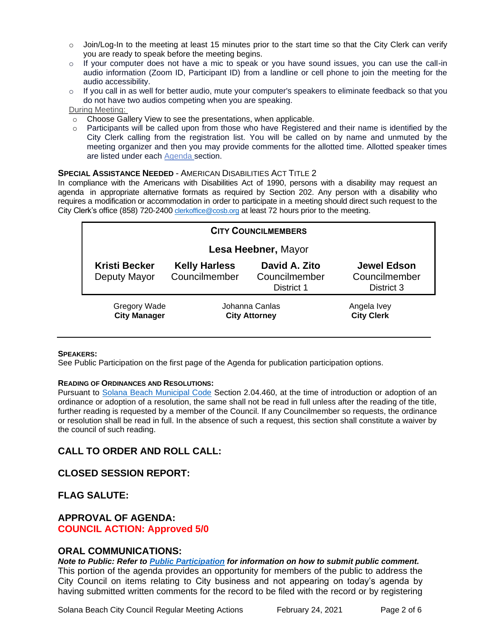- $\circ$  Join/Log-In to the meeting at least 15 minutes prior to the start time so that the City Clerk can verify you are ready to speak before the meeting begins.
- $\circ$  If your computer does not have a mic to speak or you have sound issues, you can use the call-in audio information (Zoom ID, Participant ID) from a landline or cell phone to join the meeting for the audio accessibility.
- $\circ$  If you call in as well for better audio, mute your computer's speakers to eliminate feedback so that you do not have two audios competing when you are speaking.

During Meeting:

- o Choose Gallery View to see the presentations, when applicable.
- o Participants will be called upon from those who have Registered and their name is identified by the City Clerk calling from the registration list. You will be called on by name and unmuted by the meeting organizer and then you may provide comments for the allotted time. Allotted speaker times are listed under each **Agenda** section.

#### **SPECIAL ASSISTANCE NEEDED** - AMERICAN DISABILITIES ACT TITLE 2

In compliance with the Americans with Disabilities Act of 1990, persons with a disability may request an agenda in appropriate alternative formats as required by Section 202. Any person with a disability who requires a modification or accommodation in order to participate in a meeting should direct such request to the City Clerk's office (858) 720-2400 [clerkoffice@cosb.org](mailto:EMAILGRP-CityClerksOfc@cosb.org) at least 72 hours prior to the meeting.

| <b>CITY COUNCILMEMBERS</b>                 |                                        |                                              |                                                   |
|--------------------------------------------|----------------------------------------|----------------------------------------------|---------------------------------------------------|
| Lesa Heebner, Mayor                        |                                        |                                              |                                                   |
| <b>Kristi Becker</b><br>Deputy Mayor       | <b>Kelly Harless</b><br>Councilmember  | David A. Zito<br>Councilmember<br>District 1 | <b>Jewel Edson</b><br>Councilmember<br>District 3 |
| <b>Gregory Wade</b><br><b>City Manager</b> | Johanna Canlas<br><b>City Attorney</b> |                                              | Angela Ivey<br><b>City Clerk</b>                  |

#### **SPEAKERS:**

See Public Participation on the first page of the Agenda for publication participation options.

#### **READING OF ORDINANCES AND RESOLUTIONS:**

Pursuant to [Solana Beach Municipal Code](https://www.codepublishing.com/CA/SolanaBeach/) Section 2.04.460, at the time of introduction or adoption of an ordinance or adoption of a resolution, the same shall not be read in full unless after the reading of the title, further reading is requested by a member of the Council. If any Councilmember so requests, the ordinance or resolution shall be read in full. In the absence of such a request, this section shall constitute a waiver by the council of such reading.

## **CALL TO ORDER AND ROLL CALL:**

**CLOSED SESSION REPORT:** 

**FLAG SALUTE:**

#### **APPROVAL OF AGENDA: COUNCIL ACTION: Approved 5/0**

#### **ORAL COMMUNICATIONS:**

*Note to Public: Refer to Public Participation for information on how to submit public comment.*  This portion of the agenda provides an opportunity for members of the public to address the City Council on items relating to City business and not appearing on today's agenda by having submitted written comments for the record to be filed with the record or by registering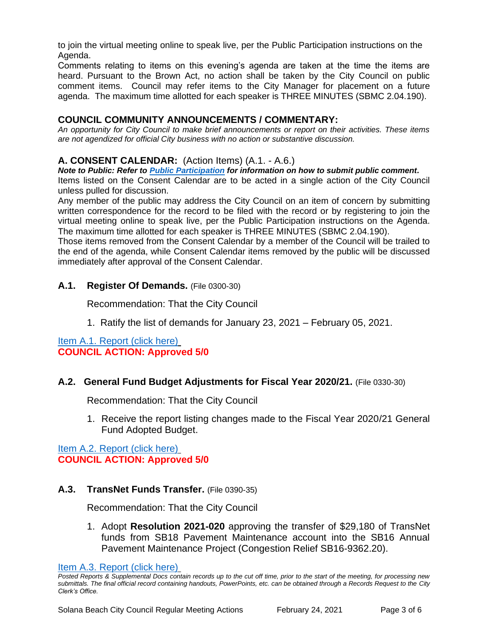to join the virtual meeting online to speak live, per the Public Participation instructions on the Agenda.

Comments relating to items on this evening's agenda are taken at the time the items are heard. Pursuant to the Brown Act, no action shall be taken by the City Council on public comment items. Council may refer items to the City Manager for placement on a future agenda. The maximum time allotted for each speaker is THREE MINUTES (SBMC 2.04.190).

### **COUNCIL COMMUNITY ANNOUNCEMENTS / COMMENTARY:**

*An opportunity for City Council to make brief announcements or report on their activities. These items are not agendized for official City business with no action or substantive discussion.* 

## **A. CONSENT CALENDAR:** (Action Items) (A.1. - A.6.)

*Note to Public: Refer to Public Participation for information on how to submit public comment.*  Items listed on the Consent Calendar are to be acted in a single action of the City Council unless pulled for discussion.

Any member of the public may address the City Council on an item of concern by submitting written correspondence for the record to be filed with the record or by registering to join the virtual meeting online to speak live, per the Public Participation instructions on the Agenda. The maximum time allotted for each speaker is THREE MINUTES (SBMC 2.04.190).

Those items removed from the Consent Calendar by a member of the Council will be trailed to the end of the agenda, while Consent Calendar items removed by the public will be discussed immediately after approval of the Consent Calendar.

### **A.1. Register Of Demands.** (File 0300-30)

Recommendation: That the City Council

1. Ratify the list of demands for January 23, 2021 – February 05, 2021.

[Item A.1. Report \(click here\)](https://solanabeach.govoffice3.com/vertical/Sites/%7B840804C2-F869-4904-9AE3-720581350CE7%7D/uploads/Item_A.1._Report_(click_here)_2-24-21-O.pdf) **COUNCIL ACTION: Approved 5/0**

## **A.2. General Fund Budget Adjustments for Fiscal Year 2020/21.** (File 0330-30)

Recommendation: That the City Council

1. Receive the report listing changes made to the Fiscal Year 2020/21 General Fund Adopted Budget.

[Item A.2. Report \(click here\)](https://solanabeach.govoffice3.com/vertical/Sites/%7B840804C2-F869-4904-9AE3-720581350CE7%7D/uploads/Item_A.2._Report_(click_here)_2-24-21-O.pdf) **COUNCIL ACTION: Approved 5/0**

## **A.3. TransNet Funds Transfer.** (File 0390-35)

Recommendation: That the City Council

1. Adopt **Resolution 2021-020** approving the transfer of \$29,180 of TransNet funds from SB18 Pavement Maintenance account into the SB16 Annual Pavement Maintenance Project (Congestion Relief SB16-9362.20).

[Item A.3. Report \(click here\)](https://solanabeach.govoffice3.com/vertical/Sites/%7B840804C2-F869-4904-9AE3-720581350CE7%7D/uploads/Item_A.3._Report_(click_here)_2-24-21-O.pdf)

*Posted Reports & Supplemental Docs contain records up to the cut off time, prior to the start of the meeting, for processing new submittals. The final official record containing handouts, PowerPoints, etc. can be obtained through a Records Request to the City Clerk's Office.*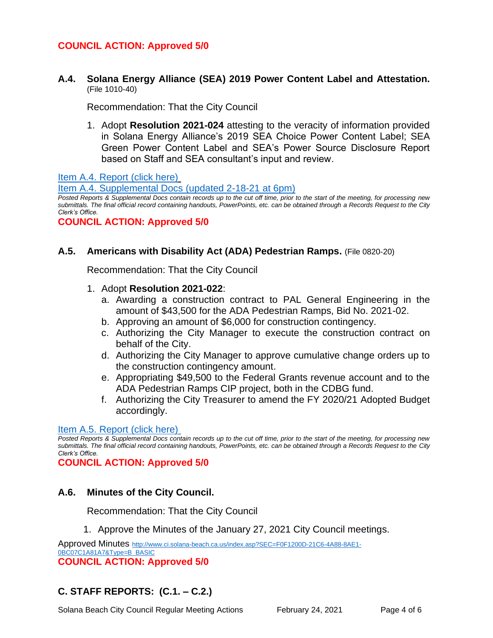## **COUNCIL ACTION: Approved 5/0**

**A.4. Solana Energy Alliance (SEA) 2019 Power Content Label and Attestation.**  (File 1010-40)

Recommendation: That the City Council

1. Adopt **Resolution 2021-024** attesting to the veracity of information provided in Solana Energy Alliance's 2019 SEA Choice Power Content Label; SEA Green Power Content Label and SEA's Power Source Disclosure Report based on Staff and SEA consultant's input and review.

[Item A.4. Report \(click here\)](https://solanabeach.govoffice3.com/vertical/Sites/%7B840804C2-F869-4904-9AE3-720581350CE7%7D/uploads/Item_A.4._Report_(click_here)_2-24-21-O.pdf)

[Item A.4. Supplemental Docs](https://solanabeach.govoffice3.com/vertical/Sites/%7B840804C2-F869-4904-9AE3-720581350CE7%7D/uploads/Item_A.4._Supplemental_Docs_(2-18-21)_-_O.pdf) (updated 2-18-21 at 6pm)

*Posted Reports & Supplemental Docs contain records up to the cut off time, prior to the start of the meeting, for processing new submittals. The final official record containing handouts, PowerPoints, etc. can be obtained through a Records Request to the City Clerk's Office.*

**COUNCIL ACTION: Approved 5/0**

#### **A.5. Americans with Disability Act (ADA) Pedestrian Ramps.** (File 0820-20)

Recommendation: That the City Council

- 1. Adopt **Resolution 2021-022**:
	- a. Awarding a construction contract to PAL General Engineering in the amount of \$43,500 for the ADA Pedestrian Ramps, Bid No. 2021-02.
	- b. Approving an amount of \$6,000 for construction contingency.
	- c. Authorizing the City Manager to execute the construction contract on behalf of the City.
	- d. Authorizing the City Manager to approve cumulative change orders up to the construction contingency amount.
	- e. Appropriating \$49,500 to the Federal Grants revenue account and to the ADA Pedestrian Ramps CIP project, both in the CDBG fund.
	- f. Authorizing the City Treasurer to amend the FY 2020/21 Adopted Budget accordingly.

#### [Item A.5. Report \(click here\)](https://solanabeach.govoffice3.com/vertical/Sites/%7B840804C2-F869-4904-9AE3-720581350CE7%7D/uploads/Item_A.5._Report_(click_here)_2-24-21-O.pdf)

*Posted Reports & Supplemental Docs contain records up to the cut off time, prior to the start of the meeting, for processing new submittals. The final official record containing handouts, PowerPoints, etc. can be obtained through a Records Request to the City Clerk's Office.*

**COUNCIL ACTION: Approved 5/0**

## **A.6. Minutes of the City Council.**

Recommendation: That the City Council

1. Approve the Minutes of the January 27, 2021 City Council meetings.

Approved Minutes [http://www.ci.solana-beach.ca.us/index.asp?SEC=F0F1200D-21C6-4A88-8AE1-](http://www.ci.solana-beach.ca.us/index.asp?SEC=F0F1200D-21C6-4A88-8AE1-0BC07C1A81A7&Type=B_BASIC) [0BC07C1A81A7&Type=B\\_BASIC](http://www.ci.solana-beach.ca.us/index.asp?SEC=F0F1200D-21C6-4A88-8AE1-0BC07C1A81A7&Type=B_BASIC) **COUNCIL ACTION: Approved 5/0**

## **C. STAFF REPORTS: (C.1. – C.2.)**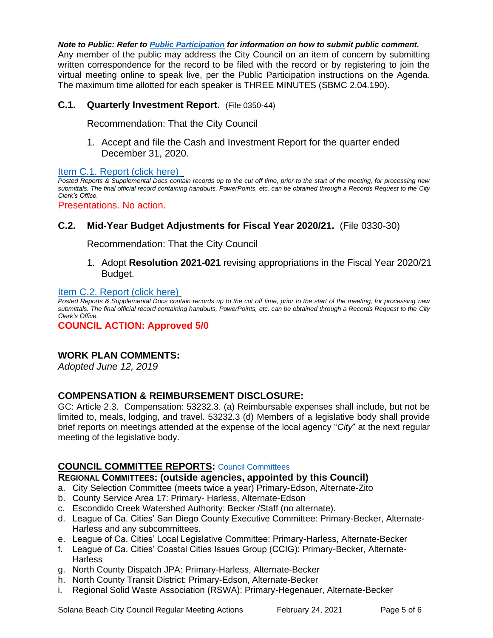*Note to Public: Refer to Public Participation for information on how to submit public comment.*  Any member of the public may address the City Council on an item of concern by submitting written correspondence for the record to be filed with the record or by registering to join the virtual meeting online to speak live, per the Public Participation instructions on the Agenda. The maximum time allotted for each speaker is THREE MINUTES (SBMC 2.04.190).

## **C.1. Quarterly Investment Report.** (File 0350-44)

Recommendation: That the City Council

1. Accept and file the Cash and Investment Report for the quarter ended December 31, 2020.

[Item C.1. Report \(click here\)](https://solanabeach.govoffice3.com/vertical/Sites/%7B840804C2-F869-4904-9AE3-720581350CE7%7D/uploads/Item_C.1._Report_(click_here)_2-24-21-O.pdf) 

*Posted Reports & Supplemental Docs contain records up to the cut off time, prior to the start of the meeting, for processing new submittals. The final official record containing handouts, PowerPoints, etc. can be obtained through a Records Request to the City Clerk's Office.*

Presentations. No action.

## **C.2. Mid-Year Budget Adjustments for Fiscal Year 2020/21.** (File 0330-30)

Recommendation: That the City Council

1. Adopt **Resolution 2021-021** revising appropriations in the Fiscal Year 2020/21 Budget.

#### [Item C.2. Report \(click here\)](https://solanabeach.govoffice3.com/vertical/Sites/%7B840804C2-F869-4904-9AE3-720581350CE7%7D/uploads/Item_C.2._Report_(click_here)_2-24-21-O.pdf)

*Posted Reports & Supplemental Docs contain records up to the cut off time, prior to the start of the meeting, for processing new submittals. The final official record containing handouts, PowerPoints, etc. can be obtained through a Records Request to the City Clerk's Office.*

**COUNCIL ACTION: Approved 5/0**

## **WORK PLAN COMMENTS:**

*Adopted June 12, 2019*

#### **COMPENSATION & REIMBURSEMENT DISCLOSURE:**

GC: Article 2.3. Compensation: 53232.3. (a) Reimbursable expenses shall include, but not be limited to, meals, lodging, and travel. 53232.3 (d) Members of a legislative body shall provide brief reports on meetings attended at the expense of the local agency "*City*" at the next regular meeting of the legislative body.

#### **COUNCIL COMMITTEE REPORTS:** [Council Committees](https://www.ci.solana-beach.ca.us/index.asp?SEC=584E1192-3850-46EA-B977-088AC3E81E0D&Type=B_BASIC)

#### **REGIONAL COMMITTEES: (outside agencies, appointed by this Council)**

- a. City Selection Committee (meets twice a year) Primary-Edson, Alternate-Zito
- b. County Service Area 17: Primary- Harless, Alternate-Edson
- c. Escondido Creek Watershed Authority: Becker /Staff (no alternate).
- d. League of Ca. Cities' San Diego County Executive Committee: Primary-Becker, Alternate-Harless and any subcommittees.
- e. League of Ca. Cities' Local Legislative Committee: Primary-Harless, Alternate-Becker
- f. League of Ca. Cities' Coastal Cities Issues Group (CCIG): Primary-Becker, Alternate-**Harless**
- g. North County Dispatch JPA: Primary-Harless, Alternate-Becker
- h. North County Transit District: Primary-Edson, Alternate-Becker
- i. Regional Solid Waste Association (RSWA): Primary-Hegenauer, Alternate-Becker